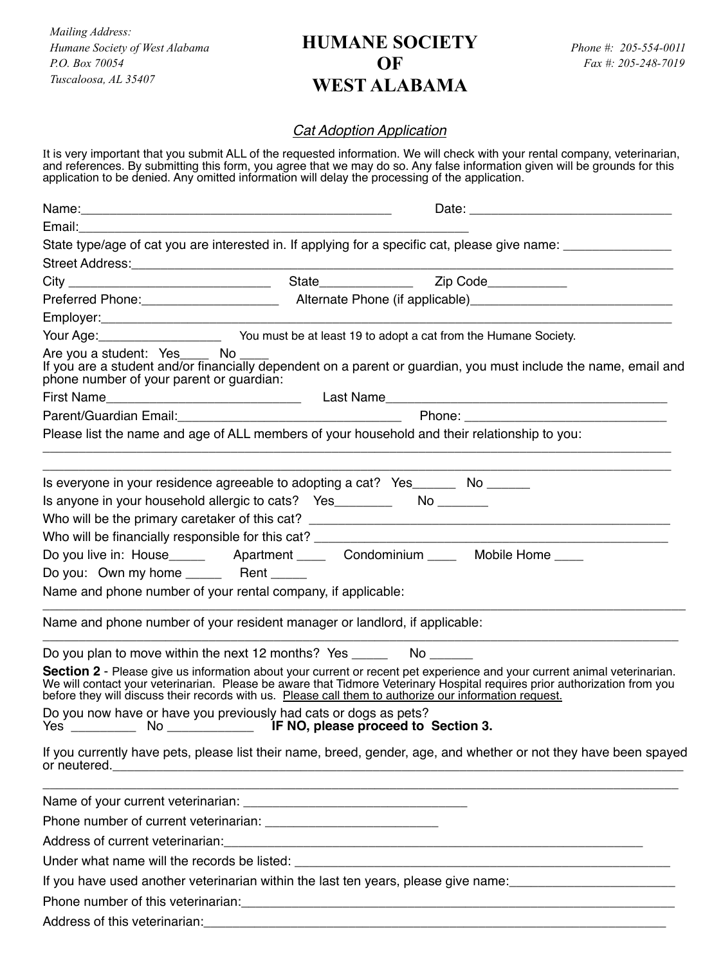*Mailing Address: Humane Society of West Alabama P.O. Box 70054 Tuscaloosa, AL 35407*

## **HUMANE SOCIETY OF WEST ALABAMA**

## *Cat Adoption Application*

It is very important that you submit ALL of the requested information. We will check with your rental company, veterinarian, and references. By submitting this form, you agree that we may do so. Any false information given will be grounds for this application to be denied. Any omitted information will delay the processing of the application.

| Date: the contract of the contract of the contract of the contract of the contract of the contract of the contract of the contract of the contract of the contract of the contract of the contract of the contract of the cont                                                    |  |                                                                                                                                                                                                                                                       |  |  |  |
|-----------------------------------------------------------------------------------------------------------------------------------------------------------------------------------------------------------------------------------------------------------------------------------|--|-------------------------------------------------------------------------------------------------------------------------------------------------------------------------------------------------------------------------------------------------------|--|--|--|
|                                                                                                                                                                                                                                                                                   |  |                                                                                                                                                                                                                                                       |  |  |  |
|                                                                                                                                                                                                                                                                                   |  | State type/age of cat you are interested in. If applying for a specific cat, please give name: _______________                                                                                                                                        |  |  |  |
|                                                                                                                                                                                                                                                                                   |  |                                                                                                                                                                                                                                                       |  |  |  |
|                                                                                                                                                                                                                                                                                   |  |                                                                                                                                                                                                                                                       |  |  |  |
|                                                                                                                                                                                                                                                                                   |  |                                                                                                                                                                                                                                                       |  |  |  |
|                                                                                                                                                                                                                                                                                   |  |                                                                                                                                                                                                                                                       |  |  |  |
| Are you a student: Yes____ No ____<br>phone number of your parent or guardian:                                                                                                                                                                                                    |  | If you are a student and/or financially dependent on a parent or guardian, you must include the name, email and                                                                                                                                       |  |  |  |
|                                                                                                                                                                                                                                                                                   |  |                                                                                                                                                                                                                                                       |  |  |  |
|                                                                                                                                                                                                                                                                                   |  |                                                                                                                                                                                                                                                       |  |  |  |
|                                                                                                                                                                                                                                                                                   |  | Please list the name and age of ALL members of your household and their relationship to you:                                                                                                                                                          |  |  |  |
| Is everyone in your residence agreeable to adopting a cat? Yes________ No ______<br>Is anyone in your household allergic to cats? Yes _______________________________<br>Do you: Own my home ________ Rent ______<br>Name and phone number of your rental company, if applicable: |  |                                                                                                                                                                                                                                                       |  |  |  |
| Name and phone number of your resident manager or landlord, if applicable:                                                                                                                                                                                                        |  |                                                                                                                                                                                                                                                       |  |  |  |
| Do you plan to move within the next 12 months? Yes _________ No _______                                                                                                                                                                                                           |  |                                                                                                                                                                                                                                                       |  |  |  |
| before they will discuss their records with us. Please call them to authorize our information request.                                                                                                                                                                            |  | Section 2 - Please give us information about your current or recent pet experience and your current animal veterinarian.<br>We will contact your veterinarian. Please be aware that Tidmore Veterinary Hospital requires prior authorization from you |  |  |  |
| Do you now have or have you previously had cats or dogs as pets?<br>Yes _____________ No _________________ IF NO, please proceed to Section 3.                                                                                                                                    |  |                                                                                                                                                                                                                                                       |  |  |  |
|                                                                                                                                                                                                                                                                                   |  | If you currently have pets, please list their name, breed, gender, age, and whether or not they have been spayed                                                                                                                                      |  |  |  |
|                                                                                                                                                                                                                                                                                   |  | <u> 1989 - Johann Stoff, deutscher Stoff, der Stoff, der Stoff, der Stoff, der Stoff, der Stoff, der Stoff, der S</u>                                                                                                                                 |  |  |  |
|                                                                                                                                                                                                                                                                                   |  |                                                                                                                                                                                                                                                       |  |  |  |
|                                                                                                                                                                                                                                                                                   |  |                                                                                                                                                                                                                                                       |  |  |  |
|                                                                                                                                                                                                                                                                                   |  |                                                                                                                                                                                                                                                       |  |  |  |
|                                                                                                                                                                                                                                                                                   |  | If you have used another veterinarian within the last ten years, please give name:<br>                                                                                                                                                                |  |  |  |
|                                                                                                                                                                                                                                                                                   |  |                                                                                                                                                                                                                                                       |  |  |  |
|                                                                                                                                                                                                                                                                                   |  |                                                                                                                                                                                                                                                       |  |  |  |